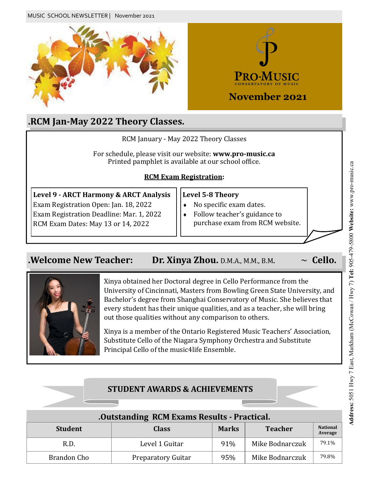

## **.RCM Jan-May 2022 Theory Classes.**

|                                                                                                                                                                   | RCM January - May 2022 Theory Classes                                                                                 |  |  |
|-------------------------------------------------------------------------------------------------------------------------------------------------------------------|-----------------------------------------------------------------------------------------------------------------------|--|--|
| For schedule, please visit our website: www.pro-music.ca<br>Printed pamphlet is available at our school office.                                                   |                                                                                                                       |  |  |
| <b>RCM Exam Registration:</b>                                                                                                                                     |                                                                                                                       |  |  |
| Level 9 - ARCT Harmony & ARCT Analysis<br>Exam Registration Open: Jan. 18, 2022<br>Exam Registration Deadline: Mar. 1, 2022<br>RCM Exam Dates: May 13 or 14, 2022 | <b>Level 5-8 Theory</b><br>No specific exam dates.<br>Follow teacher's guidance to<br>purchase exam from RCM website. |  |  |

## **.Welcome New Teacher: Dr. Xinya Zhou.** D.M.A., M.M., B.M.  $\sim$  Cello.



Xinya obtained her Doctoral degree in Cello Performance from the University of Cincinnati, Masters from Bowling Green State University, and Bachelor's degree from Shanghai Conservatory of Music. She believes that every student has their unique qualities, and as a teacher, she will bring out those qualities without any comparison to others.

Xinya is a member of the Ontario Registered Music Teachers' Association, Substitute Cello of the Niagara Symphony Orchestra and Substitute Principal Cello of the music4life Ensemble.

# **STUDENT AWARDS & ACHIEVEMENTS .Outstanding RCM Exams Results - Practical. Student Class Marks Teacher National Average** R.D. R.D. R.D. Level 1 Guitar 191% Mike Bodnarczuk 1 79.1% Brandon Cho Preparatory Guitar 95% Mike Bodnarczuk <sup>79.8%</sup>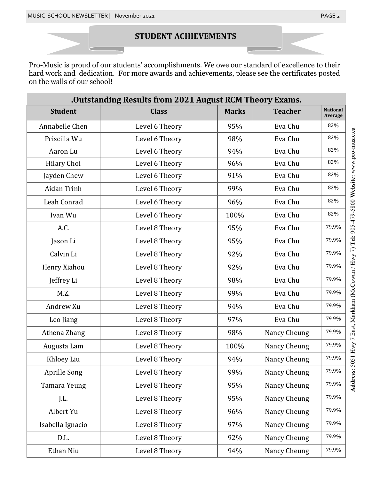#### **STUDENT ACHIEVEMENTS**

Pro-Music is proud of our students' accomplishments. We owe our standard of excellence to their hard work and dedication. For more awards and achievements, please see the certificates posted on the walls of our school!

| .Outstanding Results from 2021 August RCM Theory Exams. |                |              |                |                            |
|---------------------------------------------------------|----------------|--------------|----------------|----------------------------|
| <b>Student</b>                                          | <b>Class</b>   | <b>Marks</b> | <b>Teacher</b> | <b>National</b><br>Average |
| Annabelle Chen                                          | Level 6 Theory | 95%          | Eva Chu        | 82%                        |
| Priscilla Wu                                            | Level 6 Theory | 98%          | Eva Chu        | 82%                        |
| Aaron Lu                                                | Level 6 Theory | 94%          | Eva Chu        | 82%                        |
| Hilary Choi                                             | Level 6 Theory | 96%          | Eva Chu        | 82%                        |
| Jayden Chew                                             | Level 6 Theory | 91%          | Eva Chu        | 82%                        |
| Aidan Trinh                                             | Level 6 Theory | 99%          | Eva Chu        | 82%                        |
| Leah Conrad                                             | Level 6 Theory | 96%          | Eva Chu        | 82%                        |
| Ivan Wu                                                 | Level 6 Theory | 100%         | Eva Chu        | 82%                        |
| A.C.                                                    | Level 8 Theory | 95%          | Eva Chu        | 79.9%                      |
| Jason Li                                                | Level 8 Theory | 95%          | Eva Chu        | 79.9%                      |
| Calvin Li                                               | Level 8 Theory | 92%          | Eva Chu        | 79.9%                      |
| Henry Xiahou                                            | Level 8 Theory | 92%          | Eva Chu        | 79.9%                      |
| Jeffrey Li                                              | Level 8 Theory | 98%          | Eva Chu        | 79.9%                      |
| M.Z.                                                    | Level 8 Theory | 99%          | Eva Chu        | 79.9%                      |
| Andrew Xu                                               | Level 8 Theory | 94%          | Eva Chu        | 79.9%                      |
| Leo Jiang                                               | Level 8 Theory | 97%          | Eva Chu        | 79.9%                      |
| Athena Zhang                                            | Level 8 Theory | 98%          | Nancy Cheung   | 79.9%                      |
| Augusta Lam                                             | Level 8 Theory | 100%         | Nancy Cheung   | 79.9%                      |
| Khloey Liu                                              | Level 8 Theory | 94%          | Nancy Cheung   | 79.9%                      |
| Aprille Song                                            | Level 8 Theory | 99%          | Nancy Cheung   | 79.9%                      |
| Tamara Yeung                                            | Level 8 Theory | 95%          | Nancy Cheung   | 79.9%                      |
| J.L.                                                    | Level 8 Theory | 95%          | Nancy Cheung   | 79.9%                      |
| Albert Yu                                               | Level 8 Theory | 96%          | Nancy Cheung   | 79.9%                      |
| Isabella Ignacio                                        | Level 8 Theory | 97%          | Nancy Cheung   | 79.9%                      |
| D.L.                                                    | Level 8 Theory | 92%          | Nancy Cheung   | 79.9%                      |
| Ethan Niu                                               | Level 8 Theory | 94%          | Nancy Cheung   | 79.9%                      |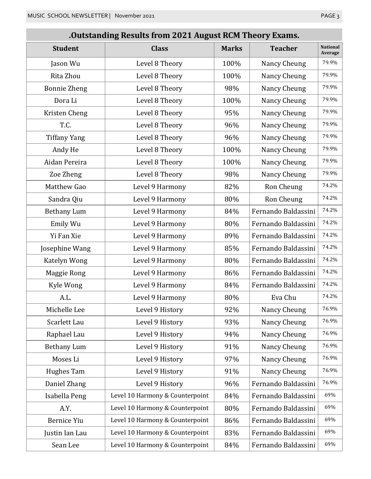#### **.Outstanding Results from 2021 August RCM Theory Exams.**

| <b>Student</b>      | <b>Class</b>                    | <b>Marks</b> | <b>Teacher</b>      | <b>National</b><br>Average |
|---------------------|---------------------------------|--------------|---------------------|----------------------------|
| Jason Wu            | Level 8 Theory                  | 100%         | Nancy Cheung        | 79.9%                      |
| Rita Zhou           | Level 8 Theory                  | 100%         | Nancy Cheung        | 79.9%                      |
| <b>Bonnie Zheng</b> | Level 8 Theory                  | 98%          | Nancy Cheung        | 79.9%                      |
| Dora Li             | Level 8 Theory                  | 100%         | Nancy Cheung        | 79.9%                      |
| Kristen Cheng       | Level 8 Theory                  | 95%          | Nancy Cheung        | 79.9%                      |
| T.C.                | Level 8 Theory                  | 96%          | Nancy Cheung        | 79.9%                      |
| <b>Tiffany Yang</b> | Level 8 Theory                  | 96%          | Nancy Cheung        | 79.9%                      |
| Andy He             | Level 8 Theory                  | 100%         | Nancy Cheung        | 79.9%                      |
| Aidan Pereira       | Level 8 Theory                  | 100%         | Nancy Cheung        | 79.9%                      |
| Zoe Zheng           | Level 8 Theory                  | 98%          | Nancy Cheung        | 79.9%                      |
| Matthew Gao         | Level 9 Harmony                 | 82%          | Ron Cheung          | 74.2%                      |
| Sandra Qiu          | Level 9 Harmony                 | 80%          | Ron Cheung          | 74.2%                      |
| <b>Bethany Lum</b>  | Level 9 Harmony                 | 84%          | Fernando Baldassini | 74.2%                      |
| Emily Wu            | Level 9 Harmony                 | 80%          | Fernando Baldassini | 74.2%                      |
| Yi Fan Xie          | Level 9 Harmony                 | 89%          | Fernando Baldassini | 74.2%                      |
| Josephine Wang      | Level 9 Harmony                 | 85%          | Fernando Baldassini | 74.2%                      |
| Katelyn Wong        | Level 9 Harmony                 | 80%          | Fernando Baldassini | 74.2%                      |
| Maggie Rong         | Level 9 Harmony                 | 86%          | Fernando Baldassini | 74.2%                      |
| Kyle Wong           | Level 9 Harmony                 | 84%          | Fernando Baldassini | 74.2%                      |
| A.L.                | Level 9 Harmony                 | 80%          | Eva Chu             | 74.2%                      |
| Michelle Lee        | Level 9 History                 | 92%          | Nancy Cheung        | 76.9%                      |
| Scarlett Lau        | Level 9 History                 | 93%          | Nancy Cheung        | 76.9%                      |
| Raphael Lau         | Level 9 History                 | 94%          | Nancy Cheung        | 76.9%                      |
| <b>Bethany Lum</b>  | Level 9 History                 | 91%          | Nancy Cheung        | 76.9%                      |
| Moses Li            | Level 9 History                 | 97%          | Nancy Cheung        | 76.9%                      |
| Hughes Tam          | Level 9 History                 | 91%          | Nancy Cheung        | 76.9%                      |
| Daniel Zhang        | Level 9 History                 | 96%          | Fernando Baldassini | 76.9%                      |
| Isabella Peng       | Level 10 Harmony & Counterpoint | 84%          | Fernando Baldassini | 69%                        |
| A.Y.                | Level 10 Harmony & Counterpoint | 80%          | Fernando Baldassini | 69%                        |
| <b>Bernice Yiu</b>  | Level 10 Harmony & Counterpoint | 86%          | Fernando Baldassini | 69%                        |
| Justin Ian Lau      | Level 10 Harmony & Counterpoint | 83%          | Fernando Baldassini | 69%                        |
| Sean Lee            | Level 10 Harmony & Counterpoint | 84%          | Fernando Baldassini | 69%                        |
|                     |                                 |              |                     |                            |